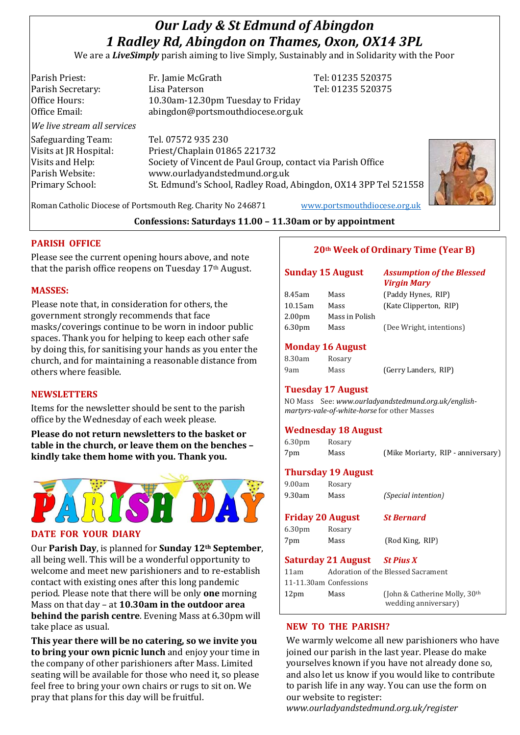# *Our Lady & St Edmund of Abingdon 1 Radley Rd, Abingdon on Thames, Oxon, OX14 3PL*

We are a *LiveSimply* parish aiming to live Simply, Sustainably and in Solidarity with the Poor

| Parish Priest:<br>Parish Secretary:<br>Office Hours:                             | Fr. Jamie McGrath<br>Lisa Paterson<br>10.30am-12.30pm Tuesday to Friday                                                                                                                         | Tel: 01235 520375<br>Tel: 01235 520375 |  |
|----------------------------------------------------------------------------------|-------------------------------------------------------------------------------------------------------------------------------------------------------------------------------------------------|----------------------------------------|--|
| Office Email:<br>We live stream all services<br>Safeguarding Team:               | abingdon@portsmouthdiocese.org.uk<br>Tel. 07572 935 230                                                                                                                                         |                                        |  |
| Visits at JR Hospital:<br>Visits and Help:<br>Parish Website:<br>Primary School: | Priest/Chaplain 01865 221732<br>Society of Vincent de Paul Group, contact via Parish Office<br>www.ourladyandstedmund.org.uk<br>St. Edmund's School, Radley Road, Abingdon, OX14 3PP Tel 521558 |                                        |  |



#### **Confessions: Saturdays 11.00 – 11.30am or by appointment**

#### **PARISH OFFICE**

Please see the current opening hours above, and note that the parish office reopens on Tuesday 17th August.

#### **MASSES:**

Please note that, in consideration for others, the government strongly recommends that face masks/coverings continue to be worn in indoor public spaces. Thank you for helping to keep each other safe by doing this, for sanitising your hands as you enter the church, and for maintaining a reasonable distance from others where feasible.

#### **NEWSLETTERS**

Items for the newsletter should be sent to the parish office by the Wednesday of each week please.

**Please do not return newsletters to the basket or table in the church, or leave them on the benches – kindly take them home with you. Thank you.**



#### **DATE FOR YOUR DIARY**

Our **Parish Day**, is planned for **Sunday 12th September**, all being well. This will be a wonderful opportunity to welcome and meet new parishioners and to re-establish contact with existing ones after this long pandemic period. Please note that there will be only **one** morning Mass on that day – at **10.30am in the outdoor area behind the parish centre**. Evening Mass at 6.30pm will take place as usual.

**This year there will be no catering, so we invite you to bring your own picnic lunch** and enjoy your time in the company of other parishioners after Mass. Limited seating will be available for those who need it, so please feel free to bring your own chairs or rugs to sit on. We pray that plans for this day will be fruitful.

# **20th Week of Ordinary Time (Year B)**

#### **Sunday 15 August** *Assumption of the Blessed Virgin Mary*

| Mass           |
|----------------|
| Mass           |
| Mass in Polish |
| Mass           |
|                |

(Kate Clipperton, RIP) (Dee Wright, intentions)

(Paddy Hynes, RIP)

# **Monday 16 August**

| 8.30am | Rosary |
|--------|--------|
| 9am    | Mass   |

9am Mass (Gerry Landers, RIP)

#### **Tuesday 17 August**

NO Mass See: *www.ourladyandstedmund.org.uk/englishmartyrs-vale-of-white-horse* for other Masses

#### **Wednesday 18 August**

| 6.30 <sub>pm</sub> | Rosary |                                    |
|--------------------|--------|------------------------------------|
| 7pm                | Mass   | (Mike Moriarty, RIP - anniversary) |

#### **Thursday 19 August**

9.00am Rosary 9.30am Mass *(Special intention)*

**Friday 20 August** *St Bernard* 6.30pm Rosary

7pm Mass (Rod King, RIP)

#### **Saturday 21 August** *St Pius X*

| 11am                   |      | Adoration of the Blessed Sacrament          |
|------------------------|------|---------------------------------------------|
| 11-11.30am Confessions |      |                                             |
| 12 <sub>pm</sub>       | Mass | (John & Catherine Molly, 30 <sup>th</sup> ) |
|                        |      | wedding anniversary)                        |

# **NEW TO THE PARISH?**

We warmly welcome all new parishioners who have joined our parish in the last year. Please do make yourselves known if you have not already done so, and also let us know if you would like to contribute to parish life in any way. You can use the form on our website to register: *www.ourladyandstedmund.org.uk/register*